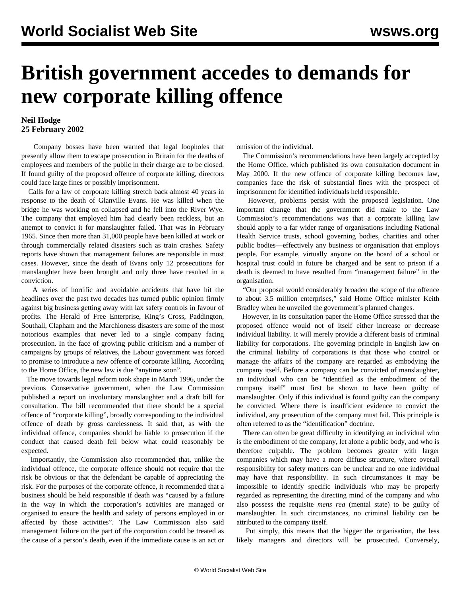## **British government accedes to demands for new corporate killing offence**

## **Neil Hodge 25 February 2002**

 Company bosses have been warned that legal loopholes that presently allow them to escape prosecution in Britain for the deaths of employees and members of the public in their charge are to be closed. If found guilty of the proposed offence of corporate killing, directors could face large fines or possibly imprisonment.

 Calls for a law of corporate killing stretch back almost 40 years in response to the death of Glanville Evans. He was killed when the bridge he was working on collapsed and he fell into the River Wye. The company that employed him had clearly been reckless, but an attempt to convict it for manslaughter failed. That was in February 1965. Since then more than 31,000 people have been killed at work or through commercially related disasters such as train crashes. Safety reports have shown that management failures are responsible in most cases. However, since the death of Evans only 12 prosecutions for manslaughter have been brought and only three have resulted in a conviction.

 A series of horrific and avoidable accidents that have hit the headlines over the past two decades has turned public opinion firmly against big business getting away with lax safety controls in favour of profits. The Herald of Free Enterprise, King's Cross, Paddington, Southall, Clapham and the Marchioness disasters are some of the most notorious examples that never led to a single company facing prosecution. In the face of growing public criticism and a number of campaigns by groups of relatives, the Labour government was forced to promise to introduce a new offence of corporate killing. According to the Home Office, the new law is due "anytime soon".

 The move towards legal reform took shape in March 1996, under the previous Conservative government, when the Law Commission published a report on involuntary manslaughter and a draft bill for consultation. The bill recommended that there should be a special offence of "corporate killing", broadly corresponding to the individual offence of death by gross carelessness. It said that, as with the individual offence, companies should be liable to prosecution if the conduct that caused death fell below what could reasonably be expected.

 Importantly, the Commission also recommended that, unlike the individual offence, the corporate offence should not require that the risk be obvious or that the defendant be capable of appreciating the risk. For the purposes of the corporate offence, it recommended that a business should be held responsible if death was "caused by a failure in the way in which the corporation's activities are managed or organised to ensure the health and safety of persons employed in or affected by those activities". The Law Commission also said management failure on the part of the corporation could be treated as the cause of a person's death, even if the immediate cause is an act or

omission of the individual.

 The Commission's recommendations have been largely accepted by the Home Office, which published its own consultation document in May 2000. If the new offence of corporate killing becomes law, companies face the risk of substantial fines with the prospect of imprisonment for identified individuals held responsible.

 However, problems persist with the proposed legislation. One important change that the government did make to the Law Commission's recommendations was that a corporate killing law should apply to a far wider range of organisations including National Health Service trusts, school governing bodies, charities and other public bodies—effectively any business or organisation that employs people. For example, virtually anyone on the board of a school or hospital trust could in future be charged and be sent to prison if a death is deemed to have resulted from "management failure" in the organisation.

 "Our proposal would considerably broaden the scope of the offence to about 3.5 million enterprises," said Home Office minister Keith Bradley when he unveiled the government's planned changes.

 However, in its consultation paper the Home Office stressed that the proposed offence would not of itself either increase or decrease individual liability. It will merely provide a different basis of criminal liability for corporations. The governing principle in English law on the criminal liability of corporations is that those who control or manage the affairs of the company are regarded as embodying the company itself. Before a company can be convicted of manslaughter, an individual who can be "identified as the embodiment of the company itself" must first be shown to have been guilty of manslaughter. Only if this individual is found guilty can the company be convicted. Where there is insufficient evidence to convict the individual, any prosecution of the company must fail. This principle is often referred to as the "identification" doctrine.

 There can often be great difficulty in identifying an individual who is the embodiment of the company, let alone a public body, and who is therefore culpable. The problem becomes greater with larger companies which may have a more diffuse structure, where overall responsibility for safety matters can be unclear and no one individual may have that responsibility. In such circumstances it may be impossible to identify specific individuals who may be properly regarded as representing the directing mind of the company and who also possess the requisite *mens rea* (mental state) to be guilty of manslaughter. In such circumstances, no criminal liability can be attributed to the company itself.

 Put simply, this means that the bigger the organisation, the less likely managers and directors will be prosecuted. Conversely,